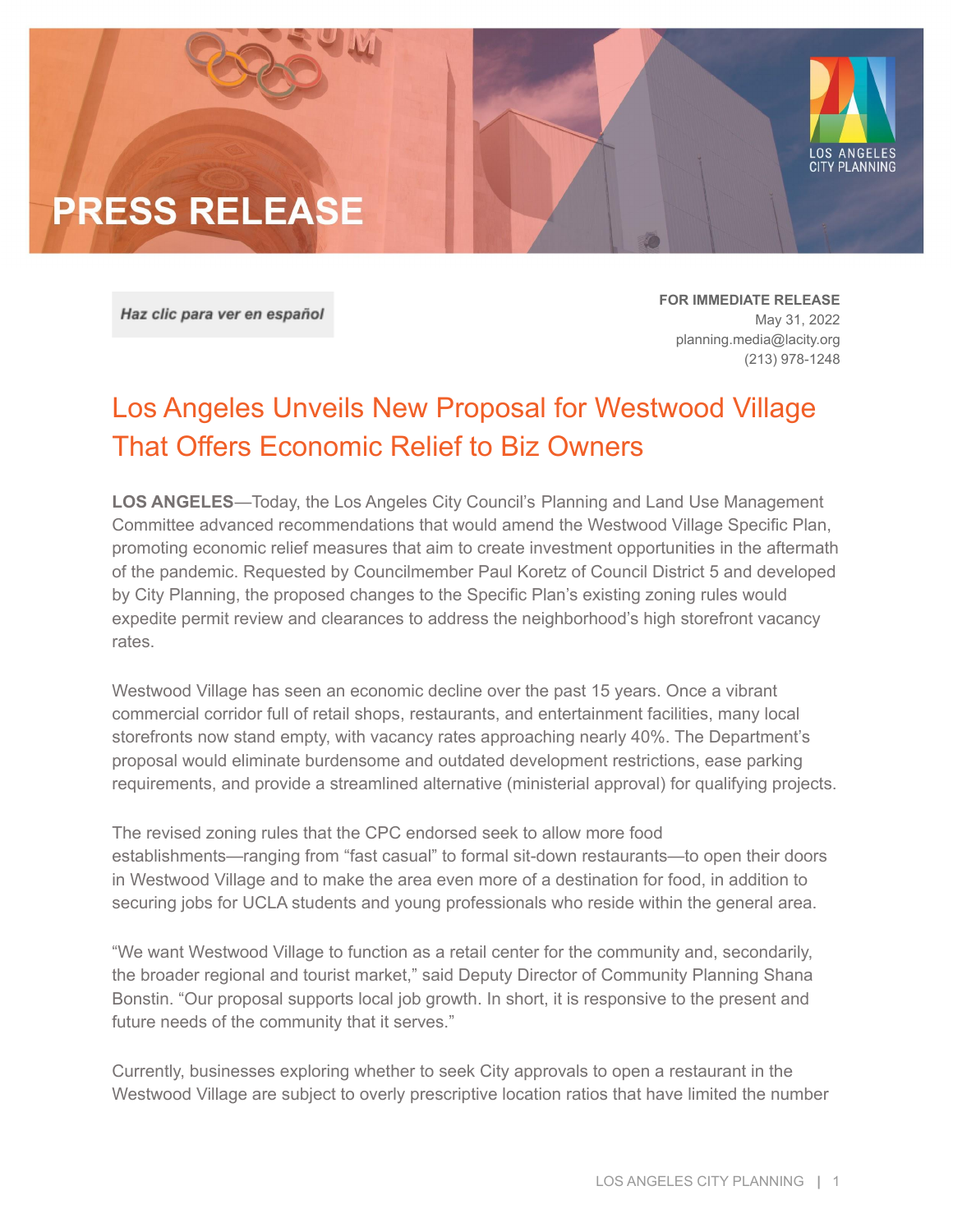

Haz clic para ver en español

**FOR IMMEDIATE RELEASE** May 31, 2022 [planning.media@lacity.org](mailto:planning.media@lacity.org) (213) 978-1248

## Los Angeles Unveils New Proposal for Westwood Village That Offers Economic Relief to Biz Owners

**LOS ANGELES**—Today, the Los Angeles City Council's Planning and Land Use Management Committee advanced recommendations that would amend the Westwood Village Specific Plan, promoting economic relief measures that aim to create investment opportunities in the aftermath of the pandemic. Requested by Councilmember Paul Koretz of Council District 5 and developed by City Planning, the proposed changes to the Specific Plan's existing zoning rules would expedite permit review and clearances to address the neighborhood's high storefront vacancy rates.

Westwood Village has seen an economic decline over the past 15 years. Once a vibrant commercial corridor full of retail shops, restaurants, and entertainment facilities, many local storefronts now stand empty, with vacancy rates approaching nearly 40%. The Department's proposal would eliminate burdensome and outdated development restrictions, ease parking requirements, and provide a streamlined alternative (ministerial approval) for qualifying projects.

The revised zoning rules that the CPC endorsed seek to allow more food establishments—ranging from "fast casual" to formal sit-down restaurants—to open their doors in Westwood Village and to make the area even more of a destination for food, in addition to securing jobs for UCLA students and young professionals who reside within the general area.

"We want Westwood Village to function as a retail center for the community and, secondarily, the broader regional and tourist market," said Deputy Director of Community Planning Shana Bonstin. "Our proposal supports local job growth. In short, it is responsive to the present and future needs of the community that it serves."

Currently, businesses exploring whether to seek City approvals to open a restaurant in the Westwood Village are subject to overly prescriptive location ratios that have limited the number